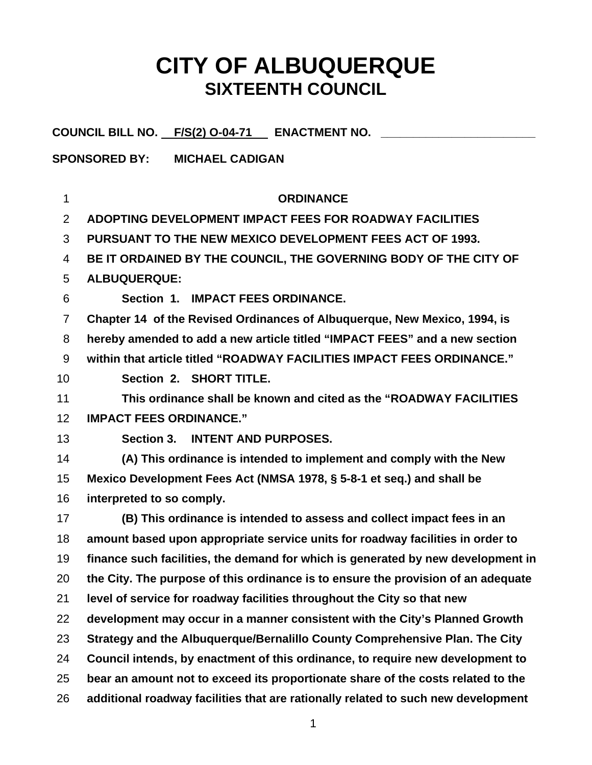## **CITY OF ALBUQUERQUE SIXTEENTH COUNCIL**

**COUNCIL BILL NO. F/S(2) O-04-71 ENACTMENT NO. \_\_\_\_\_\_\_\_\_\_\_\_\_\_\_\_\_\_\_\_\_\_\_\_** 

**SPONSORED BY: MICHAEL CADIGAN** 

| 1              | <b>ORDINANCE</b>                                                                  |
|----------------|-----------------------------------------------------------------------------------|
| 2              | ADOPTING DEVELOPMENT IMPACT FEES FOR ROADWAY FACILITIES                           |
| 3              | <b>PURSUANT TO THE NEW MEXICO DEVELOPMENT FEES ACT OF 1993.</b>                   |
| 4              | BE IT ORDAINED BY THE COUNCIL, THE GOVERNING BODY OF THE CITY OF                  |
| 5              | <b>ALBUQUERQUE:</b>                                                               |
| 6              | Section 1. IMPACT FEES ORDINANCE.                                                 |
| $\overline{7}$ | Chapter 14 of the Revised Ordinances of Albuquerque, New Mexico, 1994, is         |
| 8              | hereby amended to add a new article titled "IMPACT FEES" and a new section        |
| 9              | within that article titled "ROADWAY FACILITIES IMPACT FEES ORDINANCE."            |
| 10             | Section 2. SHORT TITLE.                                                           |
| 11             | This ordinance shall be known and cited as the "ROADWAY FACILITIES                |
| 12             | <b>IMPACT FEES ORDINANCE."</b>                                                    |
| 13             | Section 3. INTENT AND PURPOSES.                                                   |
| 14             | (A) This ordinance is intended to implement and comply with the New               |
| 15             | Mexico Development Fees Act (NMSA 1978, § 5-8-1 et seq.) and shall be             |
| 16             | interpreted to so comply.                                                         |
| 17             | (B) This ordinance is intended to assess and collect impact fees in an            |
| 18             | amount based upon appropriate service units for roadway facilities in order to    |
| 19             | finance such facilities, the demand for which is generated by new development in  |
| 20             | the City. The purpose of this ordinance is to ensure the provision of an adequate |
| 21             | level of service for roadway facilities throughout the City so that new           |
| 22             | development may occur in a manner consistent with the City's Planned Growth       |
| 23             | Strategy and the Albuquerque/Bernalillo County Comprehensive Plan. The City       |
| 24             | Council intends, by enactment of this ordinance, to require new development to    |
| 25             | bear an amount not to exceed its proportionate share of the costs related to the  |
| 26             | additional roadway facilities that are rationally related to such new development |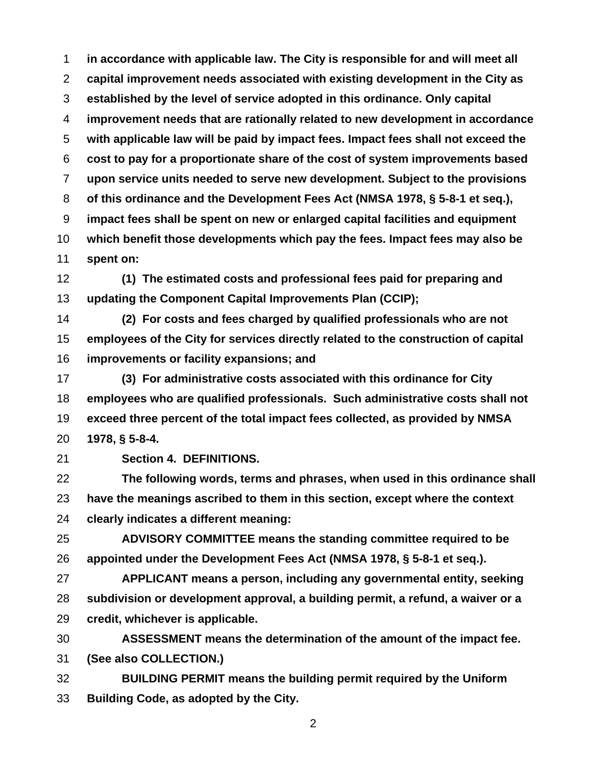**in accordance with applicable law. The City is responsible for and will meet all capital improvement needs associated with existing development in the City as established by the level of service adopted in this ordinance. Only capital improvement needs that are rationally related to new development in accordance with applicable law will be paid by impact fees. Impact fees shall not exceed the cost to pay for a proportionate share of the cost of system improvements based upon service units needed to serve new development. Subject to the provisions of this ordinance and the Development Fees Act (NMSA 1978, § 5-8-1 et seq.), impact fees shall be spent on new or enlarged capital facilities and equipment which benefit those developments which pay the fees. Impact fees may also be spent on:** 

**(1) The estimated costs and professional fees paid for preparing and updating the Component Capital Improvements Plan (CCIP);** 

**(2) For costs and fees charged by qualified professionals who are not employees of the City for services directly related to the construction of capital improvements or facility expansions; and** 

**(3) For administrative costs associated with this ordinance for City employees who are qualified professionals. Such administrative costs shall not exceed three percent of the total impact fees collected, as provided by NMSA 1978, § 5-8-4.** 

**Section 4. DEFINITIONS.** 

**The following words, terms and phrases, when used in this ordinance shall have the meanings ascribed to them in this section, except where the context clearly indicates a different meaning:** 

**ADVISORY COMMITTEE means the standing committee required to be appointed under the Development Fees Act (NMSA 1978, § 5-8-1 et seq.).** 

**APPLICANT means a person, including any governmental entity, seeking subdivision or development approval, a building permit, a refund, a waiver or a credit, whichever is applicable.** 

**ASSESSMENT means the determination of the amount of the impact fee. (See also COLLECTION.)** 

**BUILDING PERMIT means the building permit required by the Uniform Building Code, as adopted by the City.**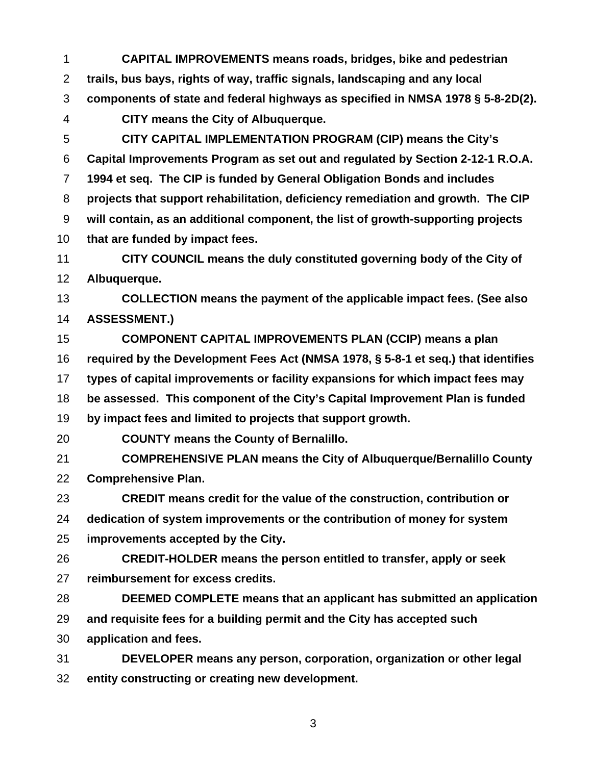**CAPITAL IMPROVEMENTS means roads, bridges, bike and pedestrian trails, bus bays, rights of way, traffic signals, landscaping and any local components of state and federal highways as specified in NMSA 1978 § 5-8-2D(2). CITY means the City of Albuquerque. CITY CAPITAL IMPLEMENTATION PROGRAM (CIP) means the City's Capital Improvements Program as set out and regulated by Section 2-12-1 R.O.A. 1994 et seq. The CIP is funded by General Obligation Bonds and includes projects that support rehabilitation, deficiency remediation and growth. The CIP will contain, as an additional component, the list of growth-supporting projects that are funded by impact fees. CITY COUNCIL means the duly constituted governing body of the City of Albuquerque. COLLECTION means the payment of the applicable impact fees. (See also ASSESSMENT.) COMPONENT CAPITAL IMPROVEMENTS PLAN (CCIP) means a plan required by the Development Fees Act (NMSA 1978, § 5-8-1 et seq.) that identifies types of capital improvements or facility expansions for which impact fees may be assessed. This component of the City's Capital Improvement Plan is funded by impact fees and limited to projects that support growth. COUNTY means the County of Bernalillo. COMPREHENSIVE PLAN means the City of Albuquerque/Bernalillo County Comprehensive Plan. CREDIT means credit for the value of the construction, contribution or dedication of system improvements or the contribution of money for system improvements accepted by the City. CREDIT-HOLDER means the person entitled to transfer, apply or seek reimbursement for excess credits. DEEMED COMPLETE means that an applicant has submitted an application and requisite fees for a building permit and the City has accepted such application and fees. DEVELOPER means any person, corporation, organization or other legal entity constructing or creating new development.**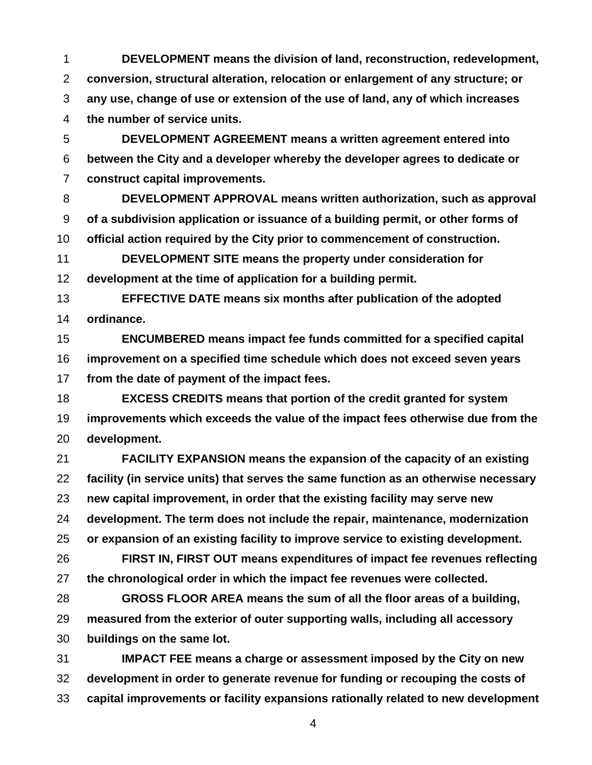**DEVELOPMENT means the division of land, reconstruction, redevelopment, conversion, structural alteration, relocation or enlargement of any structure; or any use, change of use or extension of the use of land, any of which increases the number of service units.** 

**DEVELOPMENT AGREEMENT means a written agreement entered into between the City and a developer whereby the developer agrees to dedicate or construct capital improvements.** 

**DEVELOPMENT APPROVAL means written authorization, such as approval of a subdivision application or issuance of a building permit, or other forms of official action required by the City prior to commencement of construction.** 

**DEVELOPMENT SITE means the property under consideration for development at the time of application for a building permit.** 

**EFFECTIVE DATE means six months after publication of the adopted ordinance.** 

**ENCUMBERED means impact fee funds committed for a specified capital improvement on a specified time schedule which does not exceed seven years from the date of payment of the impact fees.** 

**EXCESS CREDITS means that portion of the credit granted for system improvements which exceeds the value of the impact fees otherwise due from the development.** 

**FACILITY EXPANSION means the expansion of the capacity of an existing facility (in service units) that serves the same function as an otherwise necessary new capital improvement, in order that the existing facility may serve new development. The term does not include the repair, maintenance, modernization or expansion of an existing facility to improve service to existing development.** 

**FIRST IN, FIRST OUT means expenditures of impact fee revenues reflecting the chronological order in which the impact fee revenues were collected.** 

**GROSS FLOOR AREA means the sum of all the floor areas of a building, measured from the exterior of outer supporting walls, including all accessory buildings on the same lot.** 

**IMPACT FEE means a charge or assessment imposed by the City on new development in order to generate revenue for funding or recouping the costs of capital improvements or facility expansions rationally related to new development**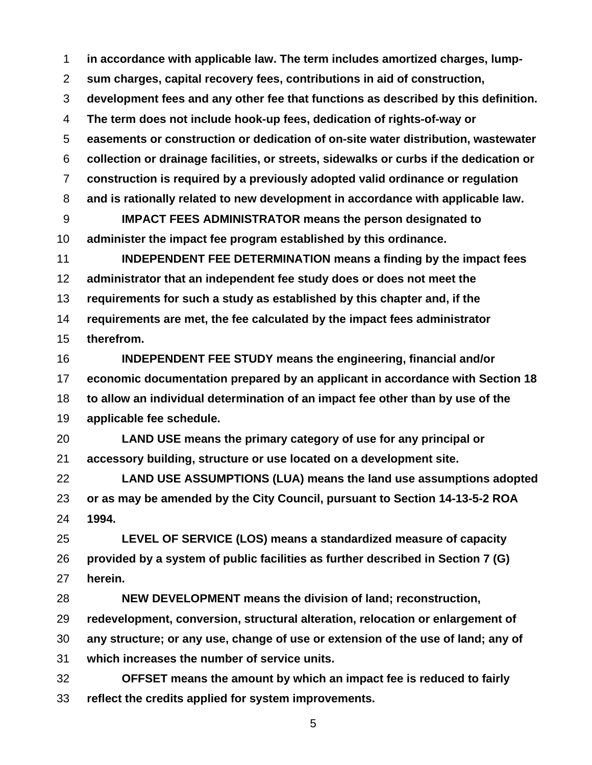**in accordance with applicable law. The term includes amortized charges, lump-**

**sum charges, capital recovery fees, contributions in aid of construction,** 

**development fees and any other fee that functions as described by this definition.** 

**The term does not include hook-up fees, dedication of rights-of-way or** 

**easements or construction or dedication of on-site water distribution, wastewater** 

**collection or drainage facilities, or streets, sidewalks or curbs if the dedication or** 

**construction is required by a previously adopted valid ordinance or regulation** 

**and is rationally related to new development in accordance with applicable law.** 

**IMPACT FEES ADMINISTRATOR means the person designated to administer the impact fee program established by this ordinance.** 

**INDEPENDENT FEE DETERMINATION means a finding by the impact fees administrator that an independent fee study does or does not meet the requirements for such a study as established by this chapter and, if the requirements are met, the fee calculated by the impact fees administrator therefrom.** 

**INDEPENDENT FEE STUDY means the engineering, financial and/or economic documentation prepared by an applicant in accordance with Section 18 to allow an individual determination of an impact fee other than by use of the applicable fee schedule.** 

**LAND USE means the primary category of use for any principal or accessory building, structure or use located on a development site.** 

**LAND USE ASSUMPTIONS (LUA) means the land use assumptions adopted or as may be amended by the City Council, pursuant to Section 14-13-5-2 ROA 1994.** 

**LEVEL OF SERVICE (LOS) means a standardized measure of capacity provided by a system of public facilities as further described in Section 7 (G) herein.** 

**NEW DEVELOPMENT means the division of land; reconstruction, redevelopment, conversion, structural alteration, relocation or enlargement of any structure; or any use, change of use or extension of the use of land; any of which increases the number of service units.** 

**OFFSET means the amount by which an impact fee is reduced to fairly reflect the credits applied for system improvements.**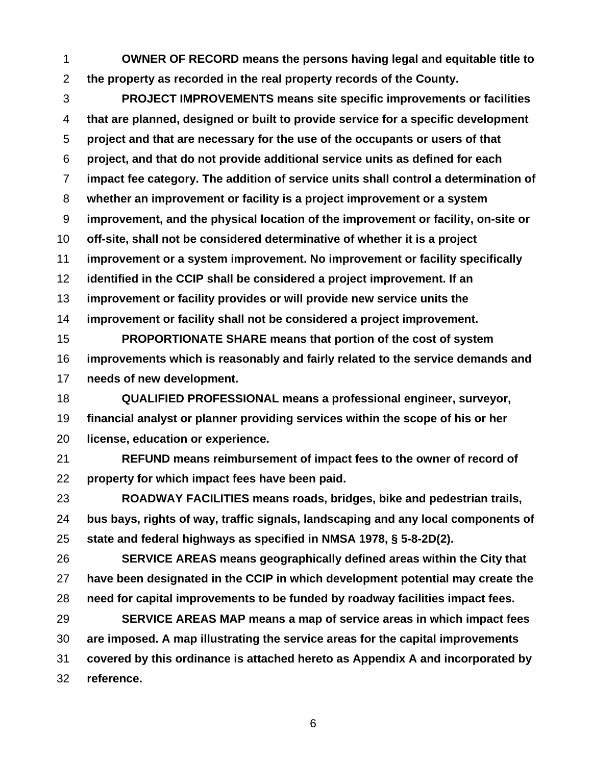**OWNER OF RECORD means the persons having legal and equitable title to the property as recorded in the real property records of the County.** 

**PROJECT IMPROVEMENTS means site specific improvements or facilities that are planned, designed or built to provide service for a specific development project and that are necessary for the use of the occupants or users of that project, and that do not provide additional service units as defined for each impact fee category. The addition of service units shall control a determination of whether an improvement or facility is a project improvement or a system improvement, and the physical location of the improvement or facility, on-site or off-site, shall not be considered determinative of whether it is a project improvement or a system improvement. No improvement or facility specifically identified in the CCIP shall be considered a project improvement. If an improvement or facility provides or will provide new service units the improvement or facility shall not be considered a project improvement. PROPORTIONATE SHARE means that portion of the cost of system** 

**improvements which is reasonably and fairly related to the service demands and needs of new development.** 

**QUALIFIED PROFESSIONAL means a professional engineer, surveyor, financial analyst or planner providing services within the scope of his or her license, education or experience.** 

**REFUND means reimbursement of impact fees to the owner of record of property for which impact fees have been paid.** 

**ROADWAY FACILITIES means roads, bridges, bike and pedestrian trails, bus bays, rights of way, traffic signals, landscaping and any local components of state and federal highways as specified in NMSA 1978, § 5-8-2D(2).** 

**SERVICE AREAS means geographically defined areas within the City that have been designated in the CCIP in which development potential may create the need for capital improvements to be funded by roadway facilities impact fees.** 

**SERVICE AREAS MAP means a map of service areas in which impact fees are imposed. A map illustrating the service areas for the capital improvements covered by this ordinance is attached hereto as Appendix A and incorporated by reference.**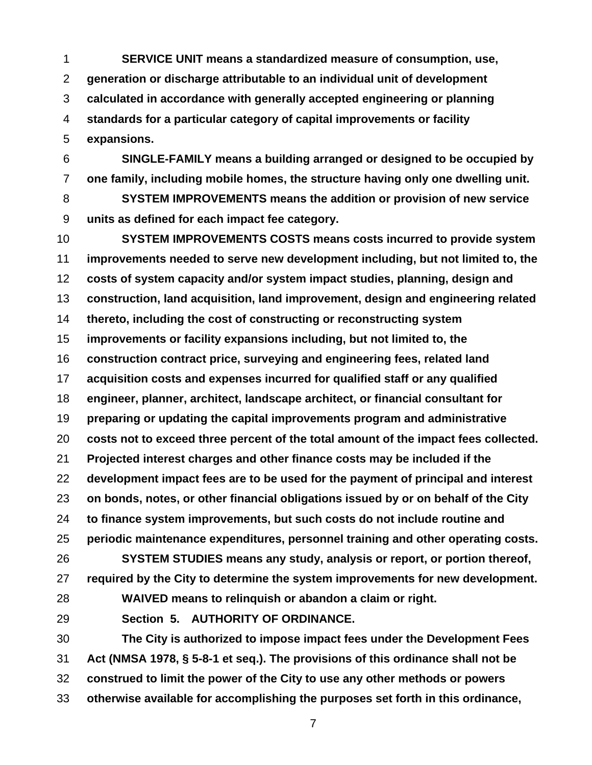**SERVICE UNIT means a standardized measure of consumption, use, generation or discharge attributable to an individual unit of development calculated in accordance with generally accepted engineering or planning standards for a particular category of capital improvements or facility expansions.** 

**SINGLE-FAMILY means a building arranged or designed to be occupied by one family, including mobile homes, the structure having only one dwelling unit.** 

**SYSTEM IMPROVEMENTS means the addition or provision of new service units as defined for each impact fee category.** 

**SYSTEM IMPROVEMENTS COSTS means costs incurred to provide system improvements needed to serve new development including, but not limited to, the costs of system capacity and/or system impact studies, planning, design and construction, land acquisition, land improvement, design and engineering related thereto, including the cost of constructing or reconstructing system improvements or facility expansions including, but not limited to, the construction contract price, surveying and engineering fees, related land acquisition costs and expenses incurred for qualified staff or any qualified engineer, planner, architect, landscape architect, or financial consultant for preparing or updating the capital improvements program and administrative costs not to exceed three percent of the total amount of the impact fees collected. Projected interest charges and other finance costs may be included if the development impact fees are to be used for the payment of principal and interest on bonds, notes, or other financial obligations issued by or on behalf of the City to finance system improvements, but such costs do not include routine and periodic maintenance expenditures, personnel training and other operating costs. SYSTEM STUDIES means any study, analysis or report, or portion thereof, required by the City to determine the system improvements for new development. WAIVED means to relinquish or abandon a claim or right. Section 5. AUTHORITY OF ORDINANCE. The City is authorized to impose impact fees under the Development Fees Act (NMSA 1978, § 5-8-1 et seq.). The provisions of this ordinance shall not be construed to limit the power of the City to use any other methods or powers** 

**otherwise available for accomplishing the purposes set forth in this ordinance,**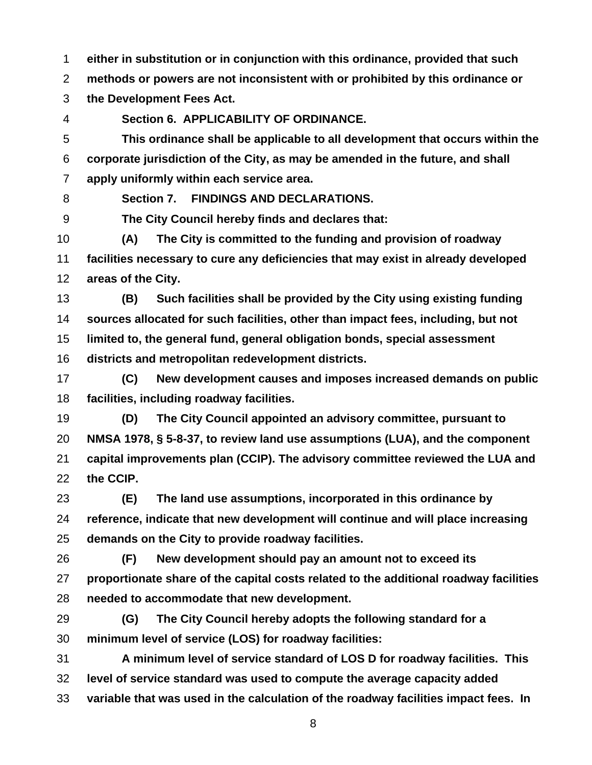**either in substitution or in conjunction with this ordinance, provided that such** 

**methods or powers are not inconsistent with or prohibited by this ordinance or** 

**the Development Fees Act.** 

**Section 6. APPLICABILITY OF ORDINANCE.** 

**This ordinance shall be applicable to all development that occurs within the corporate jurisdiction of the City, as may be amended in the future, and shall apply uniformly within each service area.** 

**Section 7. FINDINGS AND DECLARATIONS.** 

**The City Council hereby finds and declares that:** 

**(A) The City is committed to the funding and provision of roadway facilities necessary to cure any deficiencies that may exist in already developed areas of the City.** 

**(B) Such facilities shall be provided by the City using existing funding sources allocated for such facilities, other than impact fees, including, but not limited to, the general fund, general obligation bonds, special assessment districts and metropolitan redevelopment districts.** 

**(C) New development causes and imposes increased demands on public facilities, including roadway facilities.** 

**(D) The City Council appointed an advisory committee, pursuant to NMSA 1978, § 5-8-37, to review land use assumptions (LUA), and the component capital improvements plan (CCIP). The advisory committee reviewed the LUA and the CCIP.** 

**(E) The land use assumptions, incorporated in this ordinance by reference, indicate that new development will continue and will place increasing demands on the City to provide roadway facilities.** 

**(F) New development should pay an amount not to exceed its proportionate share of the capital costs related to the additional roadway facilities needed to accommodate that new development.** 

**(G) The City Council hereby adopts the following standard for a minimum level of service (LOS) for roadway facilities:** 

**A minimum level of service standard of LOS D for roadway facilities. This level of service standard was used to compute the average capacity added variable that was used in the calculation of the roadway facilities impact fees. In**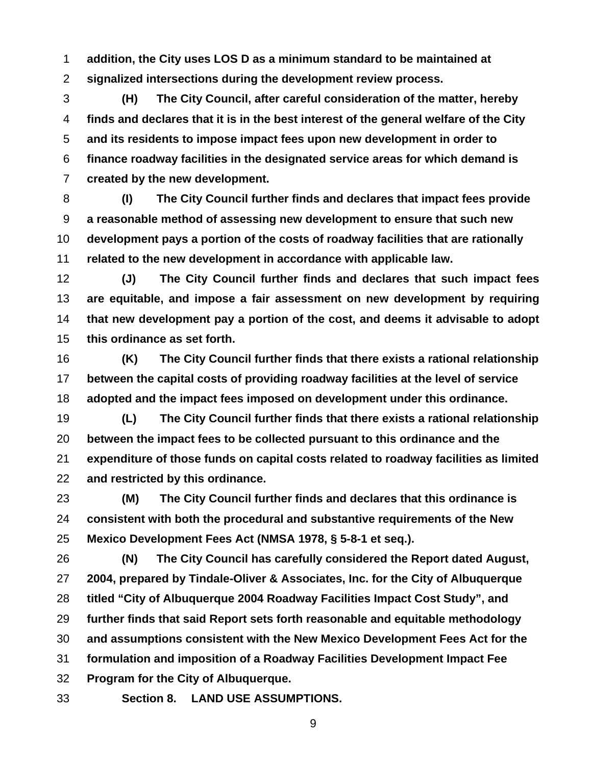**addition, the City uses LOS D as a minimum standard to be maintained at signalized intersections during the development review process.** 

**(H) The City Council, after careful consideration of the matter, hereby finds and declares that it is in the best interest of the general welfare of the City and its residents to impose impact fees upon new development in order to finance roadway facilities in the designated service areas for which demand is created by the new development.** 

**(I) The City Council further finds and declares that impact fees provide a reasonable method of assessing new development to ensure that such new development pays a portion of the costs of roadway facilities that are rationally related to the new development in accordance with applicable law.** 

**(J) The City Council further finds and declares that such impact fees are equitable, and impose a fair assessment on new development by requiring that new development pay a portion of the cost, and deems it advisable to adopt this ordinance as set forth.** 

**(K) The City Council further finds that there exists a rational relationship between the capital costs of providing roadway facilities at the level of service adopted and the impact fees imposed on development under this ordinance.** 

**(L) The City Council further finds that there exists a rational relationship between the impact fees to be collected pursuant to this ordinance and the expenditure of those funds on capital costs related to roadway facilities as limited and restricted by this ordinance.** 

**(M) The City Council further finds and declares that this ordinance is consistent with both the procedural and substantive requirements of the New Mexico Development Fees Act (NMSA 1978, § 5-8-1 et seq.).** 

**(N) The City Council has carefully considered the Report dated August, 2004, prepared by Tindale-Oliver & Associates, Inc. for the City of Albuquerque titled "City of Albuquerque 2004 Roadway Facilities Impact Cost Study", and further finds that said Report sets forth reasonable and equitable methodology and assumptions consistent with the New Mexico Development Fees Act for the formulation and imposition of a Roadway Facilities Development Impact Fee Program for the City of Albuquerque.** 

**Section 8. LAND USE ASSUMPTIONS.**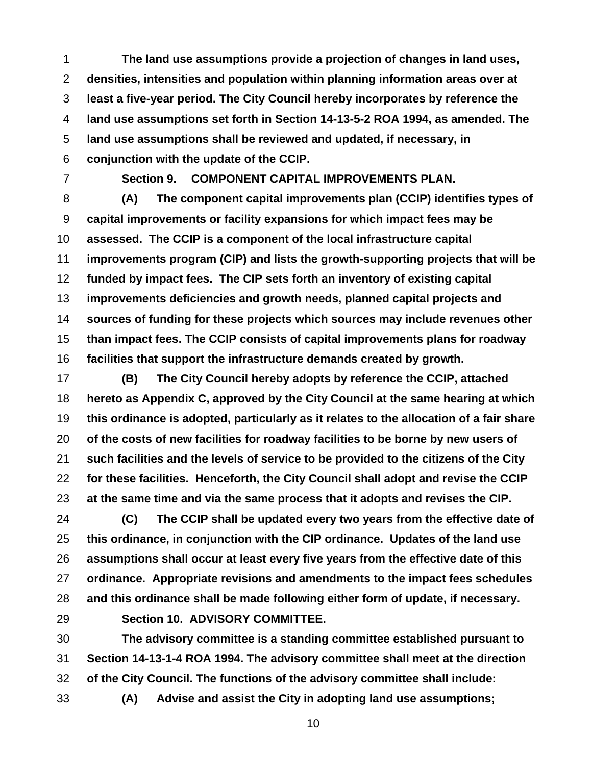**The land use assumptions provide a projection of changes in land uses, densities, intensities and population within planning information areas over at least a five-year period. The City Council hereby incorporates by reference the land use assumptions set forth in Section 14-13-5-2 ROA 1994, as amended. The land use assumptions shall be reviewed and updated, if necessary, in conjunction with the update of the CCIP.** 

**Section 9. COMPONENT CAPITAL IMPROVEMENTS PLAN.** 

**(A) The component capital improvements plan (CCIP) identifies types of capital improvements or facility expansions for which impact fees may be assessed. The CCIP is a component of the local infrastructure capital improvements program (CIP) and lists the growth-supporting projects that will be funded by impact fees. The CIP sets forth an inventory of existing capital improvements deficiencies and growth needs, planned capital projects and sources of funding for these projects which sources may include revenues other than impact fees. The CCIP consists of capital improvements plans for roadway facilities that support the infrastructure demands created by growth.** 

**(B) The City Council hereby adopts by reference the CCIP, attached hereto as Appendix C, approved by the City Council at the same hearing at which this ordinance is adopted, particularly as it relates to the allocation of a fair share of the costs of new facilities for roadway facilities to be borne by new users of such facilities and the levels of service to be provided to the citizens of the City for these facilities. Henceforth, the City Council shall adopt and revise the CCIP at the same time and via the same process that it adopts and revises the CIP.** 

**(C) The CCIP shall be updated every two years from the effective date of this ordinance, in conjunction with the CIP ordinance. Updates of the land use assumptions shall occur at least every five years from the effective date of this ordinance. Appropriate revisions and amendments to the impact fees schedules and this ordinance shall be made following either form of update, if necessary.** 

**Section 10. ADVISORY COMMITTEE.** 

**The advisory committee is a standing committee established pursuant to Section 14-13-1-4 ROA 1994. The advisory committee shall meet at the direction of the City Council. The functions of the advisory committee shall include:** 

**(A) Advise and assist the City in adopting land use assumptions;**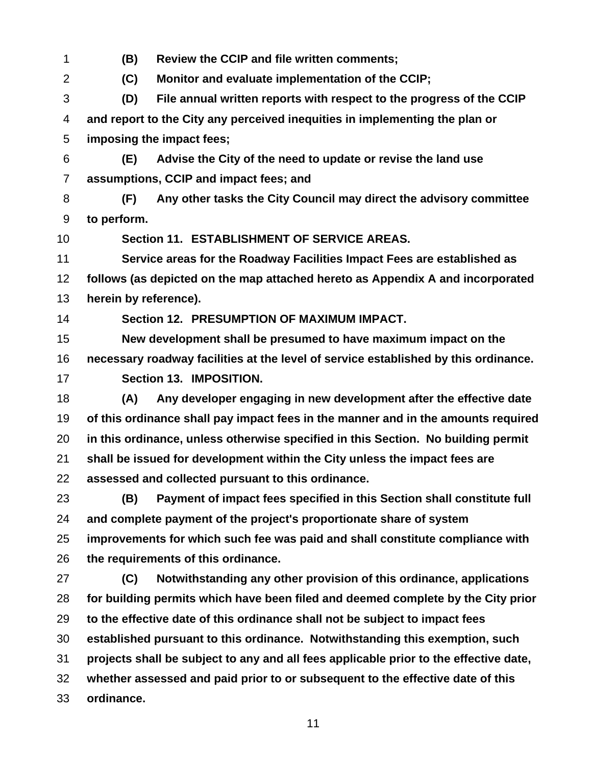**(B) Review the CCIP and file written comments; (C) Monitor and evaluate implementation of the CCIP; (D) File annual written reports with respect to the progress of the CCIP and report to the City any perceived inequities in implementing the plan or imposing the impact fees; (E) Advise the City of the need to update or revise the land use assumptions, CCIP and impact fees; and (F) Any other tasks the City Council may direct the advisory committee to perform. Section 11. ESTABLISHMENT OF SERVICE AREAS. Service areas for the Roadway Facilities Impact Fees are established as follows (as depicted on the map attached hereto as Appendix A and incorporated herein by reference). Section 12. PRESUMPTION OF MAXIMUM IMPACT. New development shall be presumed to have maximum impact on the necessary roadway facilities at the level of service established by this ordinance. Section 13. IMPOSITION. (A) Any developer engaging in new development after the effective date of this ordinance shall pay impact fees in the manner and in the amounts required in this ordinance, unless otherwise specified in this Section. No building permit shall be issued for development within the City unless the impact fees are assessed and collected pursuant to this ordinance. (B) Payment of impact fees specified in this Section shall constitute full and complete payment of the project's proportionate share of system improvements for which such fee was paid and shall constitute compliance with the requirements of this ordinance. (C) Notwithstanding any other provision of this ordinance, applications for building permits which have been filed and deemed complete by the City prior to the effective date of this ordinance shall not be subject to impact fees established pursuant to this ordinance. Notwithstanding this exemption, such projects shall be subject to any and all fees applicable prior to the effective date, whether assessed and paid prior to or subsequent to the effective date of this ordinance.**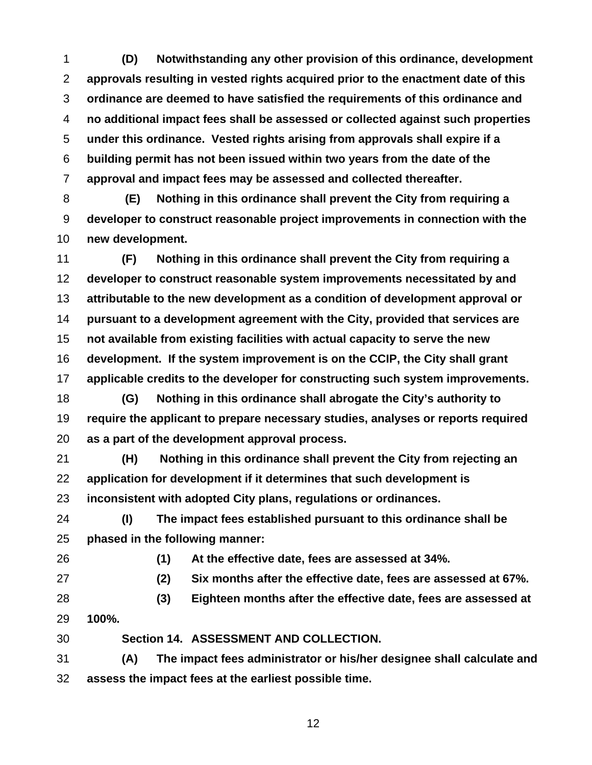**(D) Notwithstanding any other provision of this ordinance, development approvals resulting in vested rights acquired prior to the enactment date of this ordinance are deemed to have satisfied the requirements of this ordinance and no additional impact fees shall be assessed or collected against such properties under this ordinance. Vested rights arising from approvals shall expire if a building permit has not been issued within two years from the date of the approval and impact fees may be assessed and collected thereafter.** 

**(E) Nothing in this ordinance shall prevent the City from requiring a developer to construct reasonable project improvements in connection with the new development.** 

**(F) Nothing in this ordinance shall prevent the City from requiring a developer to construct reasonable system improvements necessitated by and attributable to the new development as a condition of development approval or pursuant to a development agreement with the City, provided that services are not available from existing facilities with actual capacity to serve the new development. If the system improvement is on the CCIP, the City shall grant applicable credits to the developer for constructing such system improvements.** 

**(G) Nothing in this ordinance shall abrogate the City's authority to require the applicant to prepare necessary studies, analyses or reports required as a part of the development approval process.** 

**(H) Nothing in this ordinance shall prevent the City from rejecting an application for development if it determines that such development is inconsistent with adopted City plans, regulations or ordinances.** 

**(I) The impact fees established pursuant to this ordinance shall be phased in the following manner:** 

**(1) At the effective date, fees are assessed at 34%.** 

**(2) Six months after the effective date, fees are assessed at 67%.** 

- **(3) Eighteen months after the effective date, fees are assessed at 100%.**
- **Section 14. ASSESSMENT AND COLLECTION.**

**(A) The impact fees administrator or his/her designee shall calculate and assess the impact fees at the earliest possible time.**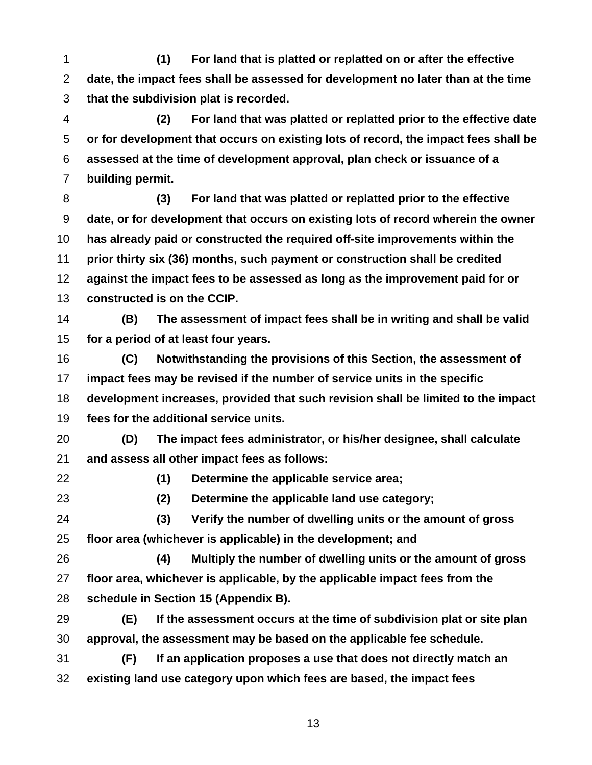**(1) For land that is platted or replatted on or after the effective date, the impact fees shall be assessed for development no later than at the time that the subdivision plat is recorded.** 

**(2) For land that was platted or replatted prior to the effective date or for development that occurs on existing lots of record, the impact fees shall be assessed at the time of development approval, plan check or issuance of a building permit.** 

**(3) For land that was platted or replatted prior to the effective date, or for development that occurs on existing lots of record wherein the owner has already paid or constructed the required off-site improvements within the prior thirty six (36) months, such payment or construction shall be credited against the impact fees to be assessed as long as the improvement paid for or constructed is on the CCIP.** 

**(B) The assessment of impact fees shall be in writing and shall be valid for a period of at least four years.** 

**(C) Notwithstanding the provisions of this Section, the assessment of impact fees may be revised if the number of service units in the specific development increases, provided that such revision shall be limited to the impact fees for the additional service units.** 

**(D) The impact fees administrator, or his/her designee, shall calculate and assess all other impact fees as follows:** 

**(1) Determine the applicable service area;** 

**(2) Determine the applicable land use category; (3) Verify the number of dwelling units or the amount of gross** 

**floor area (whichever is applicable) in the development; and** 

**(4) Multiply the number of dwelling units or the amount of gross floor area, whichever is applicable, by the applicable impact fees from the schedule in Section 15 (Appendix B).** 

**(E) If the assessment occurs at the time of subdivision plat or site plan approval, the assessment may be based on the applicable fee schedule.** 

**(F) If an application proposes a use that does not directly match an existing land use category upon which fees are based, the impact fees**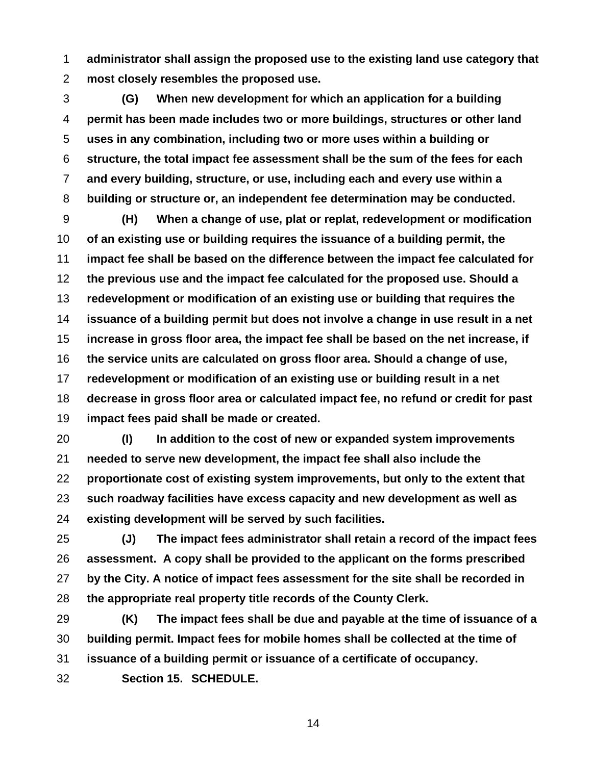**administrator shall assign the proposed use to the existing land use category that most closely resembles the proposed use.** 

**(G) When new development for which an application for a building permit has been made includes two or more buildings, structures or other land uses in any combination, including two or more uses within a building or structure, the total impact fee assessment shall be the sum of the fees for each and every building, structure, or use, including each and every use within a building or structure or, an independent fee determination may be conducted.** 

**(H) When a change of use, plat or replat, redevelopment or modification of an existing use or building requires the issuance of a building permit, the impact fee shall be based on the difference between the impact fee calculated for the previous use and the impact fee calculated for the proposed use. Should a redevelopment or modification of an existing use or building that requires the issuance of a building permit but does not involve a change in use result in a net increase in gross floor area, the impact fee shall be based on the net increase, if the service units are calculated on gross floor area. Should a change of use, redevelopment or modification of an existing use or building result in a net decrease in gross floor area or calculated impact fee, no refund or credit for past impact fees paid shall be made or created.** 

**(I) In addition to the cost of new or expanded system improvements needed to serve new development, the impact fee shall also include the proportionate cost of existing system improvements, but only to the extent that such roadway facilities have excess capacity and new development as well as existing development will be served by such facilities.** 

**(J) The impact fees administrator shall retain a record of the impact fees assessment. A copy shall be provided to the applicant on the forms prescribed by the City. A notice of impact fees assessment for the site shall be recorded in the appropriate real property title records of the County Clerk.** 

**(K) The impact fees shall be due and payable at the time of issuance of a building permit. Impact fees for mobile homes shall be collected at the time of issuance of a building permit or issuance of a certificate of occupancy. Section 15. SCHEDULE.**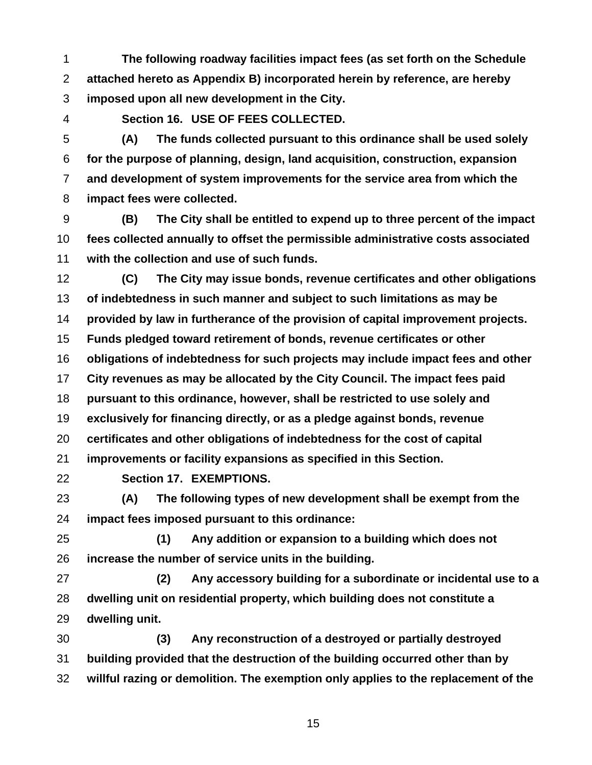**The following roadway facilities impact fees (as set forth on the Schedule attached hereto as Appendix B) incorporated herein by reference, are hereby imposed upon all new development in the City.** 

**Section 16. USE OF FEES COLLECTED.** 

**(A) The funds collected pursuant to this ordinance shall be used solely for the purpose of planning, design, land acquisition, construction, expansion and development of system improvements for the service area from which the impact fees were collected.** 

**(B) The City shall be entitled to expend up to three percent of the impact fees collected annually to offset the permissible administrative costs associated with the collection and use of such funds.** 

**(C) The City may issue bonds, revenue certificates and other obligations of indebtedness in such manner and subject to such limitations as may be provided by law in furtherance of the provision of capital improvement projects.** 

**Funds pledged toward retirement of bonds, revenue certificates or other** 

**obligations of indebtedness for such projects may include impact fees and other** 

**City revenues as may be allocated by the City Council. The impact fees paid** 

**pursuant to this ordinance, however, shall be restricted to use solely and** 

**exclusively for financing directly, or as a pledge against bonds, revenue** 

**certificates and other obligations of indebtedness for the cost of capital** 

**improvements or facility expansions as specified in this Section.** 

**Section 17. EXEMPTIONS.** 

**(A) The following types of new development shall be exempt from the impact fees imposed pursuant to this ordinance:** 

**(1) Any addition or expansion to a building which does not increase the number of service units in the building.** 

**(2) Any accessory building for a subordinate or incidental use to a dwelling unit on residential property, which building does not constitute a dwelling unit.** 

**(3) Any reconstruction of a destroyed or partially destroyed building provided that the destruction of the building occurred other than by willful razing or demolition. The exemption only applies to the replacement of the**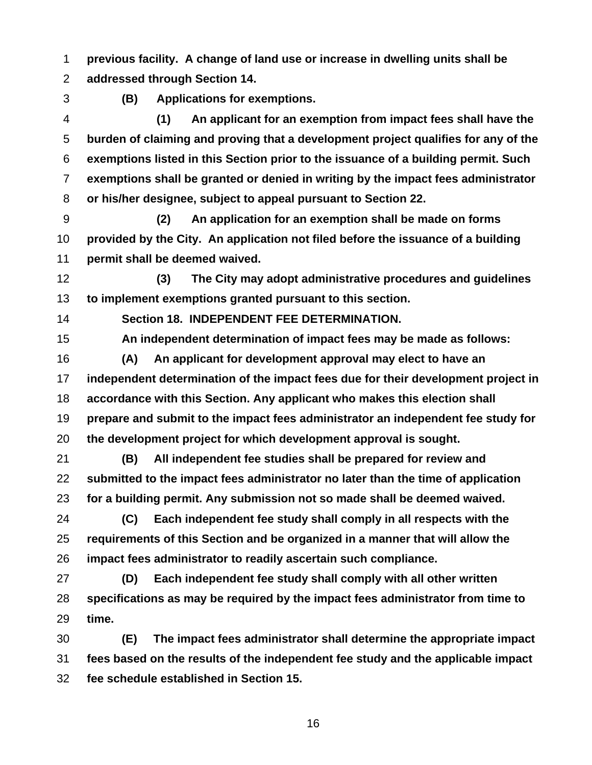**previous facility. A change of land use or increase in dwelling units shall be addressed through Section 14.** 

**(B) Applications for exemptions.** 

**(1) An applicant for an exemption from impact fees shall have the burden of claiming and proving that a development project qualifies for any of the exemptions listed in this Section prior to the issuance of a building permit. Such exemptions shall be granted or denied in writing by the impact fees administrator or his/her designee, subject to appeal pursuant to Section 22.** 

**(2) An application for an exemption shall be made on forms provided by the City. An application not filed before the issuance of a building permit shall be deemed waived.** 

**(3) The City may adopt administrative procedures and guidelines to implement exemptions granted pursuant to this section.** 

**Section 18. INDEPENDENT FEE DETERMINATION.** 

**An independent determination of impact fees may be made as follows:** 

**(A) An applicant for development approval may elect to have an independent determination of the impact fees due for their development project in accordance with this Section. Any applicant who makes this election shall prepare and submit to the impact fees administrator an independent fee study for the development project for which development approval is sought.** 

**(B) All independent fee studies shall be prepared for review and submitted to the impact fees administrator no later than the time of application for a building permit. Any submission not so made shall be deemed waived.** 

**(C) Each independent fee study shall comply in all respects with the requirements of this Section and be organized in a manner that will allow the impact fees administrator to readily ascertain such compliance.** 

**(D) Each independent fee study shall comply with all other written specifications as may be required by the impact fees administrator from time to time.** 

**(E) The impact fees administrator shall determine the appropriate impact fees based on the results of the independent fee study and the applicable impact fee schedule established in Section 15.**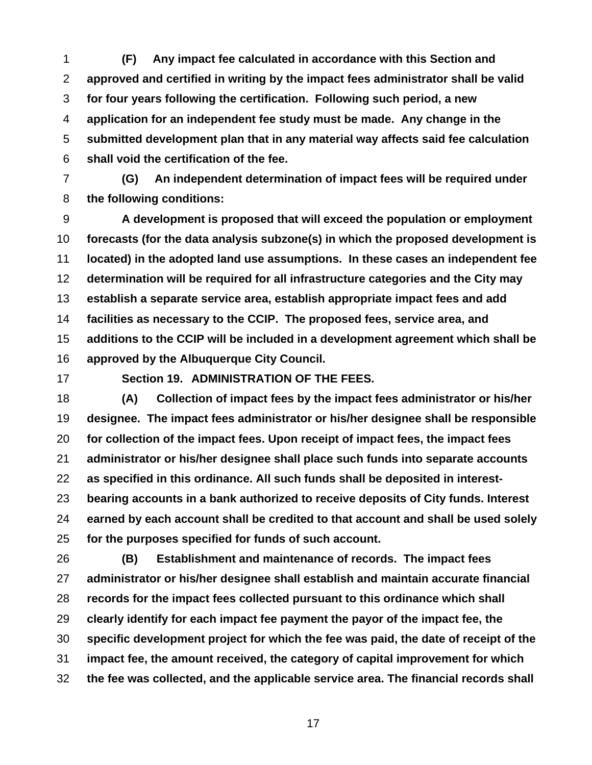**(F) Any impact fee calculated in accordance with this Section and approved and certified in writing by the impact fees administrator shall be valid for four years following the certification. Following such period, a new application for an independent fee study must be made. Any change in the submitted development plan that in any material way affects said fee calculation shall void the certification of the fee.** 

**(G) An independent determination of impact fees will be required under the following conditions:** 

**A development is proposed that will exceed the population or employment forecasts (for the data analysis subzone(s) in which the proposed development is located) in the adopted land use assumptions. In these cases an independent fee determination will be required for all infrastructure categories and the City may establish a separate service area, establish appropriate impact fees and add facilities as necessary to the CCIP. The proposed fees, service area, and additions to the CCIP will be included in a development agreement which shall be approved by the Albuquerque City Council.**

**Section 19. ADMINISTRATION OF THE FEES.** 

**(A) Collection of impact fees by the impact fees administrator or his/her designee. The impact fees administrator or his/her designee shall be responsible for collection of the impact fees. Upon receipt of impact fees, the impact fees administrator or his/her designee shall place such funds into separate accounts as specified in this ordinance. All such funds shall be deposited in interest-bearing accounts in a bank authorized to receive deposits of City funds. Interest earned by each account shall be credited to that account and shall be used solely for the purposes specified for funds of such account.** 

**(B) Establishment and maintenance of records. The impact fees administrator or his/her designee shall establish and maintain accurate financial records for the impact fees collected pursuant to this ordinance which shall clearly identify for each impact fee payment the payor of the impact fee, the specific development project for which the fee was paid, the date of receipt of the impact fee, the amount received, the category of capital improvement for which the fee was collected, and the applicable service area. The financial records shall**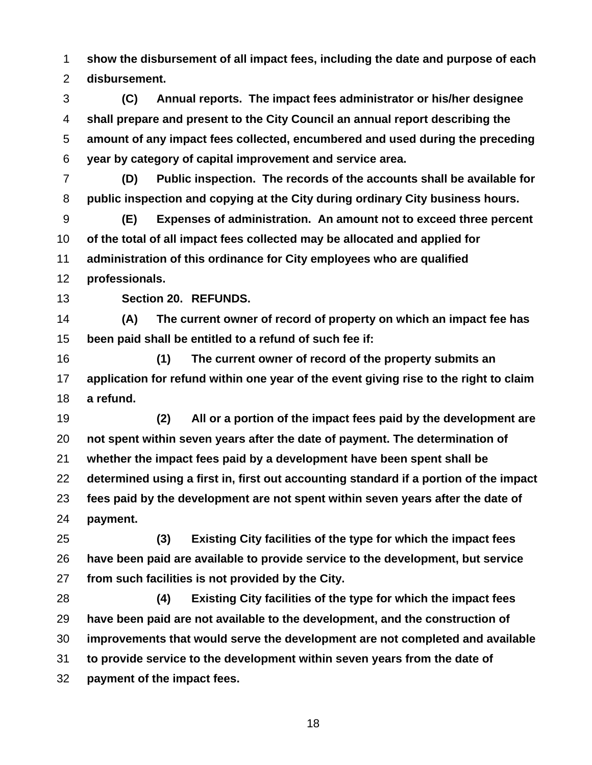**show the disbursement of all impact fees, including the date and purpose of each disbursement.** 

**(C) Annual reports. The impact fees administrator or his/her designee shall prepare and present to the City Council an annual report describing the amount of any impact fees collected, encumbered and used during the preceding year by category of capital improvement and service area.** 

**(D) Public inspection. The records of the accounts shall be available for public inspection and copying at the City during ordinary City business hours.** 

**(E) Expenses of administration. An amount not to exceed three percent of the total of all impact fees collected may be allocated and applied for administration of this ordinance for City employees who are qualified** 

**professionals.** 

**Section 20. REFUNDS.** 

**(A) The current owner of record of property on which an impact fee has been paid shall be entitled to a refund of such fee if:** 

**(1) The current owner of record of the property submits an application for refund within one year of the event giving rise to the right to claim a refund.** 

**(2) All or a portion of the impact fees paid by the development are not spent within seven years after the date of payment. The determination of whether the impact fees paid by a development have been spent shall be determined using a first in, first out accounting standard if a portion of the impact fees paid by the development are not spent within seven years after the date of payment.** 

**(3) Existing City facilities of the type for which the impact fees have been paid are available to provide service to the development, but service from such facilities is not provided by the City.** 

**(4) Existing City facilities of the type for which the impact fees have been paid are not available to the development, and the construction of improvements that would serve the development are not completed and available to provide service to the development within seven years from the date of payment of the impact fees.**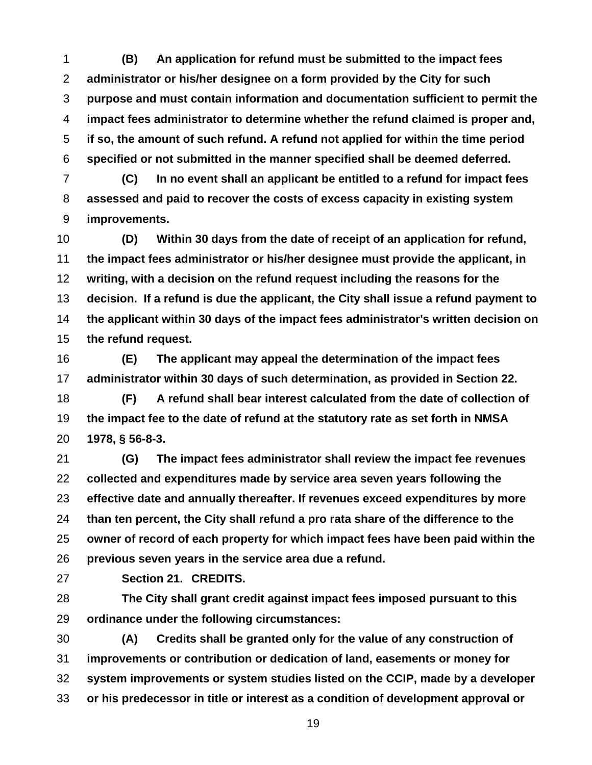**(B) An application for refund must be submitted to the impact fees administrator or his/her designee on a form provided by the City for such purpose and must contain information and documentation sufficient to permit the impact fees administrator to determine whether the refund claimed is proper and, if so, the amount of such refund. A refund not applied for within the time period specified or not submitted in the manner specified shall be deemed deferred.** 

**(C) In no event shall an applicant be entitled to a refund for impact fees assessed and paid to recover the costs of excess capacity in existing system improvements.** 

**(D) Within 30 days from the date of receipt of an application for refund, the impact fees administrator or his/her designee must provide the applicant, in writing, with a decision on the refund request including the reasons for the decision. If a refund is due the applicant, the City shall issue a refund payment to the applicant within 30 days of the impact fees administrator's written decision on the refund request.** 

**(E) The applicant may appeal the determination of the impact fees administrator within 30 days of such determination, as provided in Section 22.** 

**(F) A refund shall bear interest calculated from the date of collection of the impact fee to the date of refund at the statutory rate as set forth in NMSA 1978, § 56-8-3.** 

**(G) The impact fees administrator shall review the impact fee revenues collected and expenditures made by service area seven years following the effective date and annually thereafter. If revenues exceed expenditures by more than ten percent, the City shall refund a pro rata share of the difference to the owner of record of each property for which impact fees have been paid within the previous seven years in the service area due a refund.** 

**Section 21. CREDITS.** 

**The City shall grant credit against impact fees imposed pursuant to this ordinance under the following circumstances:** 

**(A) Credits shall be granted only for the value of any construction of improvements or contribution or dedication of land, easements or money for system improvements or system studies listed on the CCIP, made by a developer or his predecessor in title or interest as a condition of development approval or**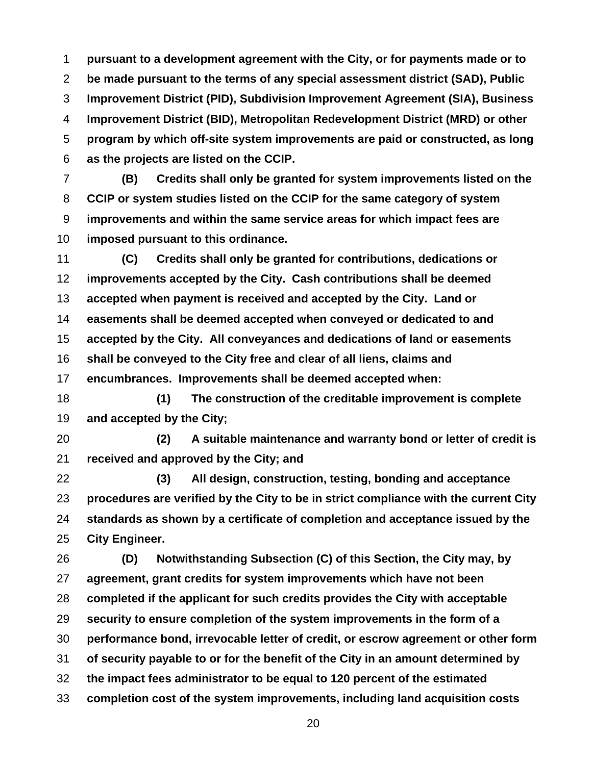**pursuant to a development agreement with the City, or for payments made or to be made pursuant to the terms of any special assessment district (SAD), Public Improvement District (PID), Subdivision Improvement Agreement (SIA), Business Improvement District (BID), Metropolitan Redevelopment District (MRD) or other program by which off-site system improvements are paid or constructed, as long as the projects are listed on the CCIP.** 

**(B) Credits shall only be granted for system improvements listed on the CCIP or system studies listed on the CCIP for the same category of system improvements and within the same service areas for which impact fees are imposed pursuant to this ordinance.** 

**(C) Credits shall only be granted for contributions, dedications or improvements accepted by the City. Cash contributions shall be deemed accepted when payment is received and accepted by the City. Land or easements shall be deemed accepted when conveyed or dedicated to and accepted by the City. All conveyances and dedications of land or easements shall be conveyed to the City free and clear of all liens, claims and encumbrances. Improvements shall be deemed accepted when:** 

**(1) The construction of the creditable improvement is complete and accepted by the City;** 

**(2) A suitable maintenance and warranty bond or letter of credit is received and approved by the City; and** 

**(3) All design, construction, testing, bonding and acceptance procedures are verified by the City to be in strict compliance with the current City standards as shown by a certificate of completion and acceptance issued by the City Engineer.** 

**(D) Notwithstanding Subsection (C) of this Section, the City may, by agreement, grant credits for system improvements which have not been completed if the applicant for such credits provides the City with acceptable security to ensure completion of the system improvements in the form of a performance bond, irrevocable letter of credit, or escrow agreement or other form of security payable to or for the benefit of the City in an amount determined by the impact fees administrator to be equal to 120 percent of the estimated completion cost of the system improvements, including land acquisition costs**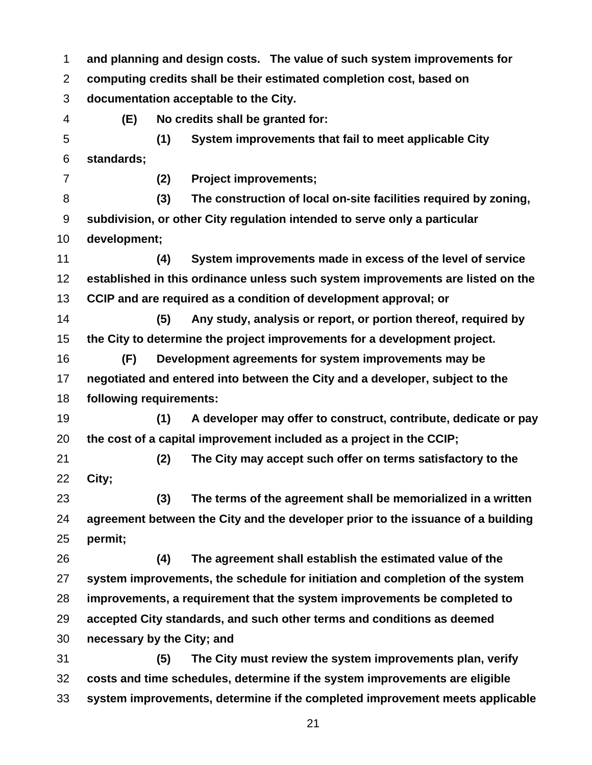**and planning and design costs. The value of such system improvements for computing credits shall be their estimated completion cost, based on documentation acceptable to the City. (E) No credits shall be granted for: (1) System improvements that fail to meet applicable City standards; (2) Project improvements; (3) The construction of local on-site facilities required by zoning, subdivision, or other City regulation intended to serve only a particular development; (4) System improvements made in excess of the level of service established in this ordinance unless such system improvements are listed on the CCIP and are required as a condition of development approval; or (5) Any study, analysis or report, or portion thereof, required by the City to determine the project improvements for a development project. (F) Development agreements for system improvements may be negotiated and entered into between the City and a developer, subject to the following requirements: (1) A developer may offer to construct, contribute, dedicate or pay the cost of a capital improvement included as a project in the CCIP; (2) The City may accept such offer on terms satisfactory to the City; (3) The terms of the agreement shall be memorialized in a written agreement between the City and the developer prior to the issuance of a building permit; (4) The agreement shall establish the estimated value of the system improvements, the schedule for initiation and completion of the system improvements, a requirement that the system improvements be completed to accepted City standards, and such other terms and conditions as deemed necessary by the City; and (5) The City must review the system improvements plan, verify costs and time schedules, determine if the system improvements are eligible system improvements, determine if the completed improvement meets applicable**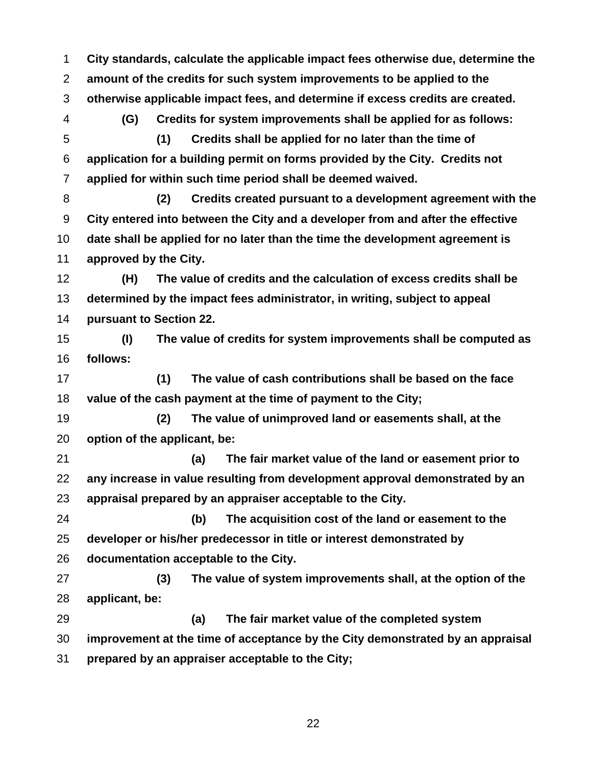**City standards, calculate the applicable impact fees otherwise due, determine the amount of the credits for such system improvements to be applied to the otherwise applicable impact fees, and determine if excess credits are created. (G) Credits for system improvements shall be applied for as follows: (1) Credits shall be applied for no later than the time of application for a building permit on forms provided by the City. Credits not applied for within such time period shall be deemed waived. (2) Credits created pursuant to a development agreement with the City entered into between the City and a developer from and after the effective date shall be applied for no later than the time the development agreement is approved by the City. (H) The value of credits and the calculation of excess credits shall be determined by the impact fees administrator, in writing, subject to appeal pursuant to Section 22. (I) The value of credits for system improvements shall be computed as follows: (1) The value of cash contributions shall be based on the face value of the cash payment at the time of payment to the City; (2) The value of unimproved land or easements shall, at the option of the applicant, be: (a) The fair market value of the land or easement prior to any increase in value resulting from development approval demonstrated by an appraisal prepared by an appraiser acceptable to the City. (b) The acquisition cost of the land or easement to the developer or his/her predecessor in title or interest demonstrated by documentation acceptable to the City. (3) The value of system improvements shall, at the option of the applicant, be: (a) The fair market value of the completed system improvement at the time of acceptance by the City demonstrated by an appraisal prepared by an appraiser acceptable to the City;**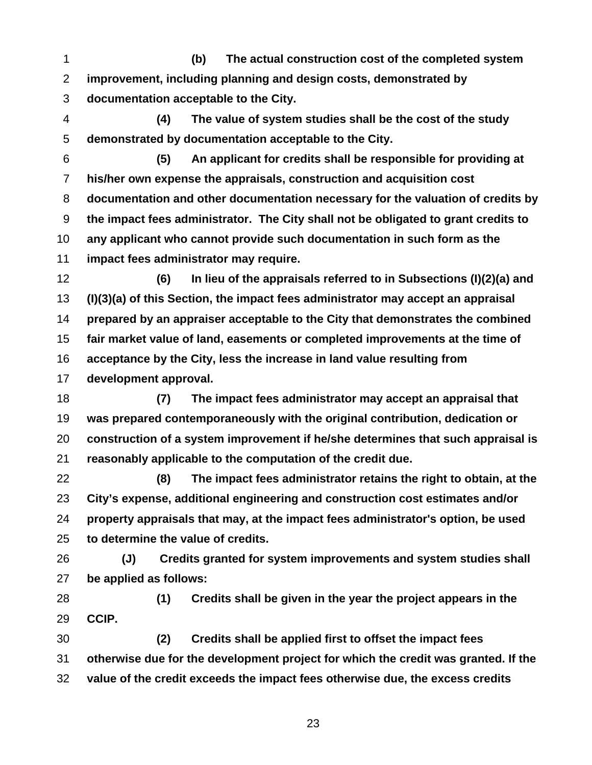**(b) The actual construction cost of the completed system improvement, including planning and design costs, demonstrated by documentation acceptable to the City.** 

**(4) The value of system studies shall be the cost of the study demonstrated by documentation acceptable to the City.** 

**(5) An applicant for credits shall be responsible for providing at his/her own expense the appraisals, construction and acquisition cost documentation and other documentation necessary for the valuation of credits by the impact fees administrator. The City shall not be obligated to grant credits to any applicant who cannot provide such documentation in such form as the impact fees administrator may require.** 

**(6) In lieu of the appraisals referred to in Subsections (I)(2)(a) and (I)(3)(a) of this Section, the impact fees administrator may accept an appraisal prepared by an appraiser acceptable to the City that demonstrates the combined fair market value of land, easements or completed improvements at the time of acceptance by the City, less the increase in land value resulting from development approval.** 

**(7) The impact fees administrator may accept an appraisal that was prepared contemporaneously with the original contribution, dedication or construction of a system improvement if he/she determines that such appraisal is reasonably applicable to the computation of the credit due.** 

**(8) The impact fees administrator retains the right to obtain, at the City's expense, additional engineering and construction cost estimates and/or property appraisals that may, at the impact fees administrator's option, be used to determine the value of credits.** 

**(J) Credits granted for system improvements and system studies shall be applied as follows:** 

**(1) Credits shall be given in the year the project appears in the CCIP.** 

**(2) Credits shall be applied first to offset the impact fees otherwise due for the development project for which the credit was granted. If the value of the credit exceeds the impact fees otherwise due, the excess credits**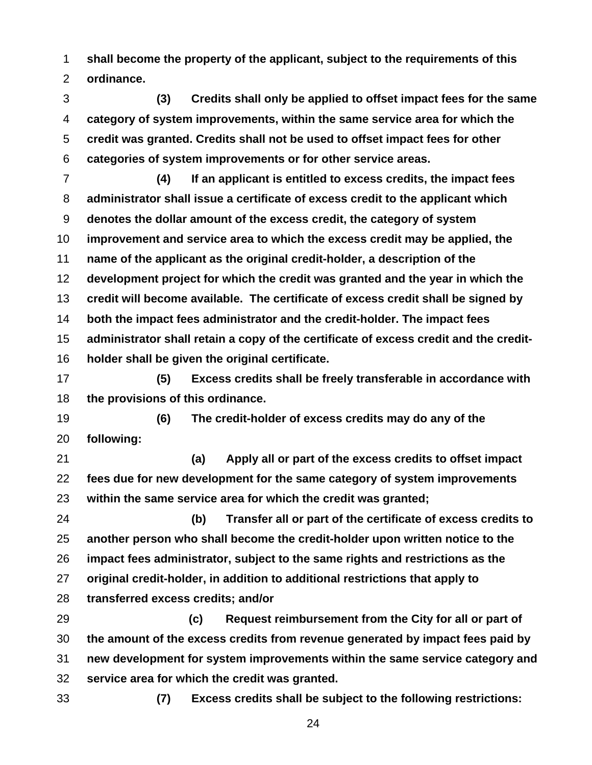**shall become the property of the applicant, subject to the requirements of this ordinance.** 

**(3) Credits shall only be applied to offset impact fees for the same category of system improvements, within the same service area for which the credit was granted. Credits shall not be used to offset impact fees for other categories of system improvements or for other service areas.** 

**(4) If an applicant is entitled to excess credits, the impact fees administrator shall issue a certificate of excess credit to the applicant which denotes the dollar amount of the excess credit, the category of system improvement and service area to which the excess credit may be applied, the name of the applicant as the original credit-holder, a description of the development project for which the credit was granted and the year in which the credit will become available. The certificate of excess credit shall be signed by both the impact fees administrator and the credit-holder. The impact fees administrator shall retain a copy of the certificate of excess credit and the credit-holder shall be given the original certificate.** 

**(5) Excess credits shall be freely transferable in accordance with the provisions of this ordinance.** 

**(6) The credit-holder of excess credits may do any of the following:** 

**(a) Apply all or part of the excess credits to offset impact fees due for new development for the same category of system improvements within the same service area for which the credit was granted;** 

**(b) Transfer all or part of the certificate of excess credits to another person who shall become the credit-holder upon written notice to the impact fees administrator, subject to the same rights and restrictions as the original credit-holder, in addition to additional restrictions that apply to transferred excess credits; and/or** 

**(c) Request reimbursement from the City for all or part of the amount of the excess credits from revenue generated by impact fees paid by new development for system improvements within the same service category and service area for which the credit was granted.** 

**(7) Excess credits shall be subject to the following restrictions:**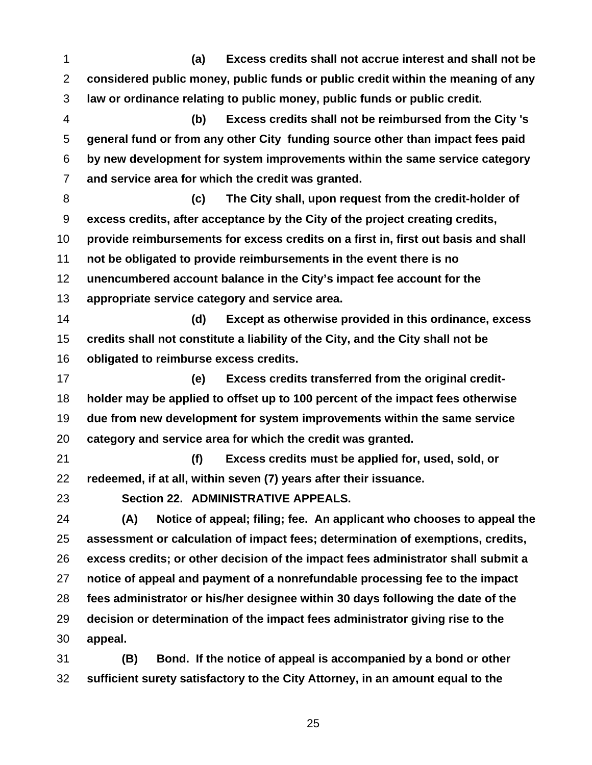**(a) Excess credits shall not accrue interest and shall not be considered public money, public funds or public credit within the meaning of any law or ordinance relating to public money, public funds or public credit.** 

**(b) Excess credits shall not be reimbursed from the City 's general fund or from any other City funding source other than impact fees paid by new development for system improvements within the same service category and service area for which the credit was granted.** 

**(c) The City shall, upon request from the credit-holder of excess credits, after acceptance by the City of the project creating credits, provide reimbursements for excess credits on a first in, first out basis and shall not be obligated to provide reimbursements in the event there is no unencumbered account balance in the City's impact fee account for the appropriate service category and service area.** 

**(d) Except as otherwise provided in this ordinance, excess credits shall not constitute a liability of the City, and the City shall not be obligated to reimburse excess credits.** 

**(e) Excess credits transferred from the original credit-holder may be applied to offset up to 100 percent of the impact fees otherwise due from new development for system improvements within the same service category and service area for which the credit was granted.** 

**(f) Excess credits must be applied for, used, sold, or redeemed, if at all, within seven (7) years after their issuance.** 

**Section 22. ADMINISTRATIVE APPEALS.** 

**(A) Notice of appeal; filing; fee. An applicant who chooses to appeal the assessment or calculation of impact fees; determination of exemptions, credits, excess credits; or other decision of the impact fees administrator shall submit a notice of appeal and payment of a nonrefundable processing fee to the impact fees administrator or his/her designee within 30 days following the date of the decision or determination of the impact fees administrator giving rise to the appeal.** 

**(B) Bond. If the notice of appeal is accompanied by a bond or other sufficient surety satisfactory to the City Attorney, in an amount equal to the**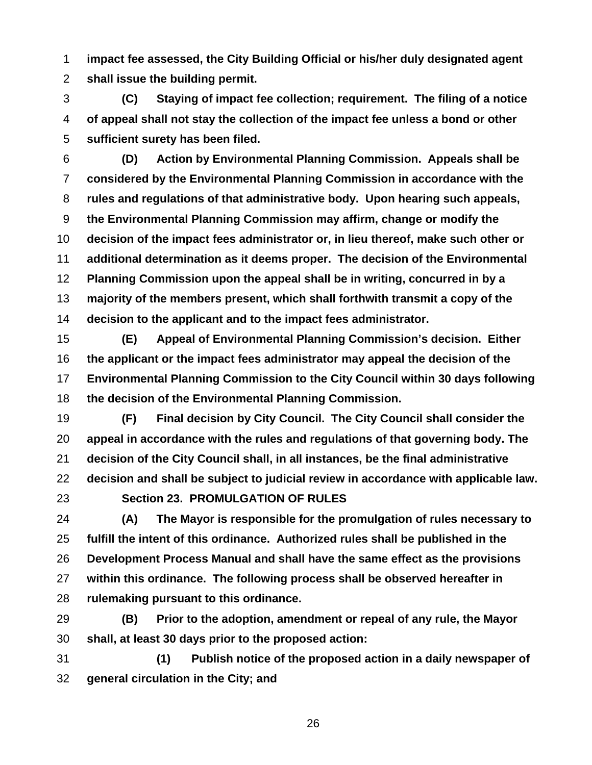**impact fee assessed, the City Building Official or his/her duly designated agent shall issue the building permit.** 

**(C) Staying of impact fee collection; requirement. The filing of a notice of appeal shall not stay the collection of the impact fee unless a bond or other sufficient surety has been filed.** 

**(D) Action by Environmental Planning Commission. Appeals shall be considered by the Environmental Planning Commission in accordance with the rules and regulations of that administrative body. Upon hearing such appeals, the Environmental Planning Commission may affirm, change or modify the decision of the impact fees administrator or, in lieu thereof, make such other or additional determination as it deems proper. The decision of the Environmental Planning Commission upon the appeal shall be in writing, concurred in by a majority of the members present, which shall forthwith transmit a copy of the decision to the applicant and to the impact fees administrator.** 

**(E) Appeal of Environmental Planning Commission's decision. Either the applicant or the impact fees administrator may appeal the decision of the Environmental Planning Commission to the City Council within 30 days following the decision of the Environmental Planning Commission.** 

**(F) Final decision by City Council. The City Council shall consider the appeal in accordance with the rules and regulations of that governing body. The decision of the City Council shall, in all instances, be the final administrative decision and shall be subject to judicial review in accordance with applicable law.** 

## **Section 23. PROMULGATION OF RULES**

**(A) The Mayor is responsible for the promulgation of rules necessary to fulfill the intent of this ordinance. Authorized rules shall be published in the Development Process Manual and shall have the same effect as the provisions within this ordinance. The following process shall be observed hereafter in rulemaking pursuant to this ordinance.**

**(B) Prior to the adoption, amendment or repeal of any rule, the Mayor shall, at least 30 days prior to the proposed action:**

**(1) Publish notice of the proposed action in a daily newspaper of general circulation in the City; and**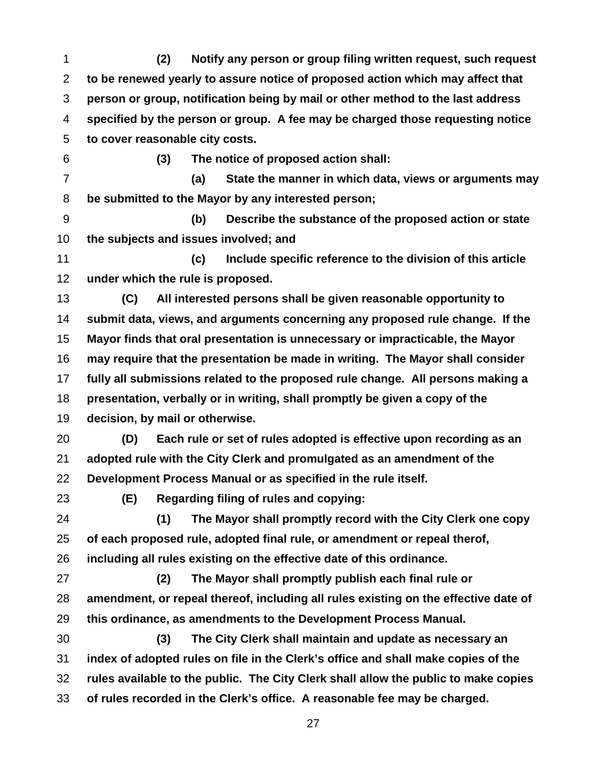**(2) Notify any person or group filing written request, such request to be renewed yearly to assure notice of proposed action which may affect that person or group, notification being by mail or other method to the last address specified by the person or group. A fee may be charged those requesting notice to cover reasonable city costs. (3) The notice of proposed action shall: (a) State the manner in which data, views or arguments may be submitted to the Mayor by any interested person; (b) Describe the substance of the proposed action or state the subjects and issues involved; and (c) Include specific reference to the division of this article under which the rule is proposed. (C) All interested persons shall be given reasonable opportunity to submit data, views, and arguments concerning any proposed rule change. If the Mayor finds that oral presentation is unnecessary or impracticable, the Mayor may require that the presentation be made in writing. The Mayor shall consider fully all submissions related to the proposed rule change. All persons making a presentation, verbally or in writing, shall promptly be given a copy of the decision, by mail or otherwise. (D) Each rule or set of rules adopted is effective upon recording as an adopted rule with the City Clerk and promulgated as an amendment of the Development Process Manual or as specified in the rule itself. (E) Regarding filing of rules and copying: (1) The Mayor shall promptly record with the City Clerk one copy of each proposed rule, adopted final rule, or amendment or repeal therof, including all rules existing on the effective date of this ordinance. (2) The Mayor shall promptly publish each final rule or** 

**amendment, or repeal thereof, including all rules existing on the effective date of this ordinance, as amendments to the Development Process Manual.**

**(3) The City Clerk shall maintain and update as necessary an index of adopted rules on file in the Clerk's office and shall make copies of the rules available to the public. The City Clerk shall allow the public to make copies of rules recorded in the Clerk's office. A reasonable fee may be charged.**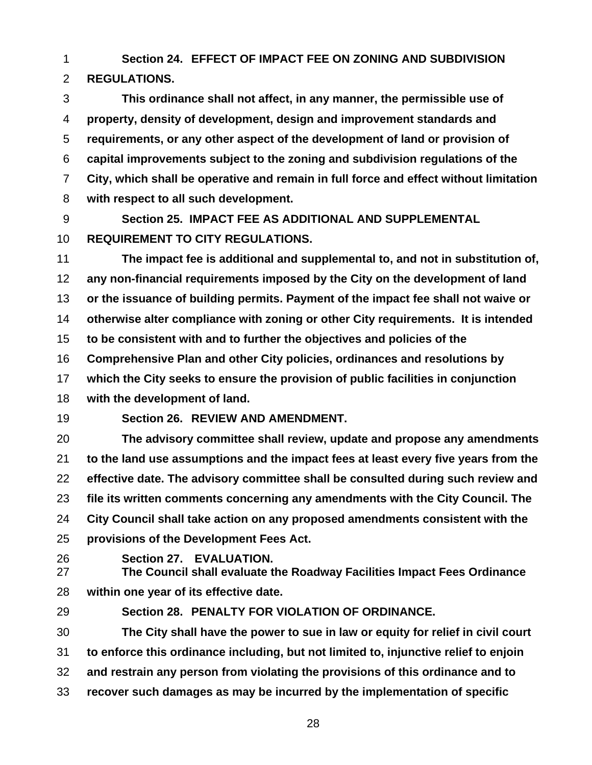**Section 24. EFFECT OF IMPACT FEE ON ZONING AND SUBDIVISION REGULATIONS.** 

**This ordinance shall not affect, in any manner, the permissible use of property, density of development, design and improvement standards and requirements, or any other aspect of the development of land or provision of capital improvements subject to the zoning and subdivision regulations of the City, which shall be operative and remain in full force and effect without limitation with respect to all such development.** 

**Section 25. IMPACT FEE AS ADDITIONAL AND SUPPLEMENTAL REQUIREMENT TO CITY REGULATIONS.** 

**The impact fee is additional and supplemental to, and not in substitution of, any non-financial requirements imposed by the City on the development of land or the issuance of building permits. Payment of the impact fee shall not waive or otherwise alter compliance with zoning or other City requirements. It is intended to be consistent with and to further the objectives and policies of the Comprehensive Plan and other City policies, ordinances and resolutions by which the City seeks to ensure the provision of public facilities in conjunction with the development of land.** 

**Section 26. REVIEW AND AMENDMENT.** 

**The advisory committee shall review, update and propose any amendments to the land use assumptions and the impact fees at least every five years from the effective date. The advisory committee shall be consulted during such review and file its written comments concerning any amendments with the City Council. The City Council shall take action on any proposed amendments consistent with the provisions of the Development Fees Act.** 

**Section 27. EVALUATION.** 

**The Council shall evaluate the Roadway Facilities Impact Fees Ordinance within one year of its effective date.** 

**Section 28. PENALTY FOR VIOLATION OF ORDINANCE.** 

**The City shall have the power to sue in law or equity for relief in civil court to enforce this ordinance including, but not limited to, injunctive relief to enjoin and restrain any person from violating the provisions of this ordinance and to** 

**recover such damages as may be incurred by the implementation of specific**